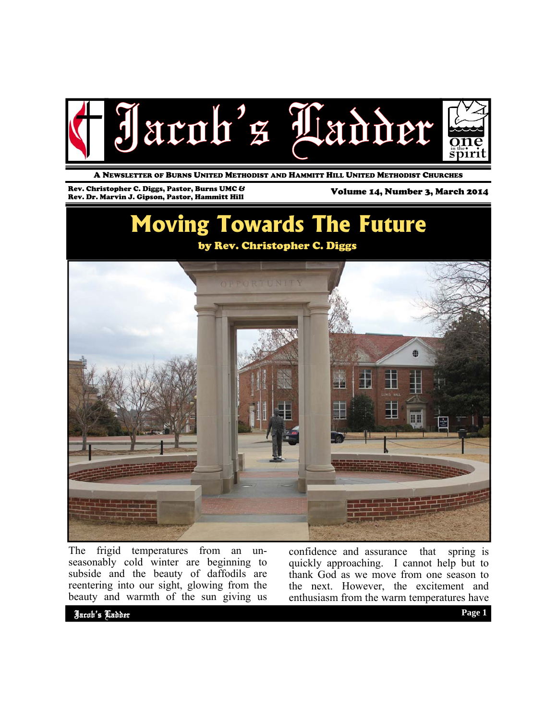

A NEWSLETTER OF BURNS UNITED METHODIST AND HAMMITT HILL UNITED METHODIST CHURCHES

Rev. Christopher C. Diggs, Pastor, Burns UMC & Rev. Christopher C. Diggs, Pastor, Burns UMC & Volume 14, Number 3, March 2014<br>Rev. Dr. Marvin J. Gipson, Pastor, Hammitt Hill View Controller and Volume 14, Number 3, March 2014

# **Moving Towards The Future**

#### by Rev. Christopher C. Diggs



The frigid temperatures from an unseasonably cold winter are beginning to subside and the beauty of daffodils are reentering into our sight, glowing from the beauty and warmth of the sun giving us confidence and assurance that spring is quickly approaching. I cannot help but to thank God as we move from one season to the next. However, the excitement and enthusiasm from the warm temperatures have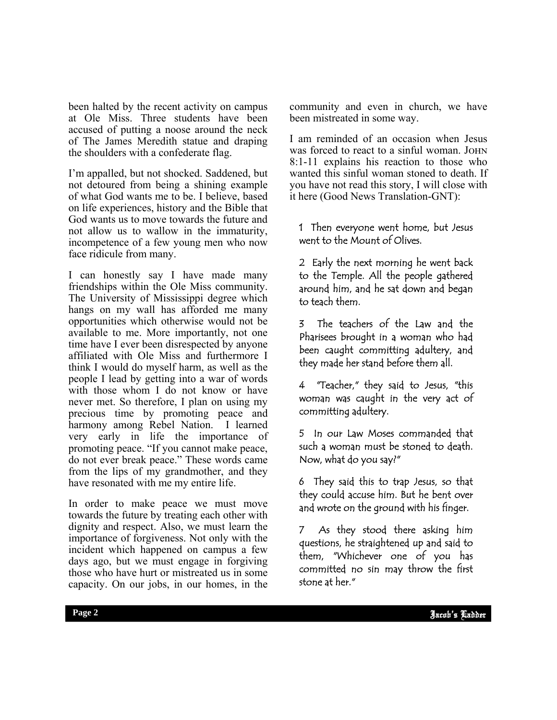been halted by the recent activity on campus at Ole Miss. Three students have been accused of putting a noose around the neck of The James Meredith statue and draping the shoulders with a confederate flag.

I'm appalled, but not shocked. Saddened, but not detoured from being a shining example of what God wants me to be. I believe, based on life experiences, history and the Bible that God wants us to move towards the future and not allow us to wallow in the immaturity, incompetence of a few young men who now face ridicule from many.

I can honestly say I have made many friendships within the Ole Miss community. The University of Mississippi degree which hangs on my wall has afforded me many opportunities which otherwise would not be available to me. More importantly, not one time have I ever been disrespected by anyone affiliated with Ole Miss and furthermore I think I would do myself harm, as well as the people I lead by getting into a war of words with those whom I do not know or have never met. So therefore, I plan on using my precious time by promoting peace and harmony among Rebel Nation. I learned very early in life the importance of promoting peace. "If you cannot make peace, do not ever break peace." These words came from the lips of my grandmother, and they have resonated with me my entire life.

In order to make peace we must move towards the future by treating each other with dignity and respect. Also, we must learn the importance of forgiveness. Not only with the incident which happened on campus a few days ago, but we must engage in forgiving those who have hurt or mistreated us in some capacity. On our jobs, in our homes, in the

community and even in church, we have been mistreated in some way.

I am reminded of an occasion when Jesus was forced to react to a sinful woman. JOHN 8:1-11 explains his reaction to those who wanted this sinful woman stoned to death. If you have not read this story, I will close with it here (Good News Translation-GNT):

1 Then everyone went home, but Jesus went to the Mount of Olives.

2 Early the next morning he went back to the Temple. All the people gathered around him, and he sat down and began to teach them.

3 The teachers of the Law and the Pharisees brought in a woman who had been caught committing adultery, and they made her stand before them all.

4 "Teacher," they said to Jesus, "this woman was caught in the very act of committing adultery.

5 In our Law Moses commanded that such a woman must be stoned to death. Now, what do you say?"

6 They said this to trap Jesus, so that they could accuse him. But he bent over and wrote on the ground with his finger.

area, which can be called the mass 7 As they stood there asking him questions, he straightened up and said to them, "Whichever one of you has stone at her."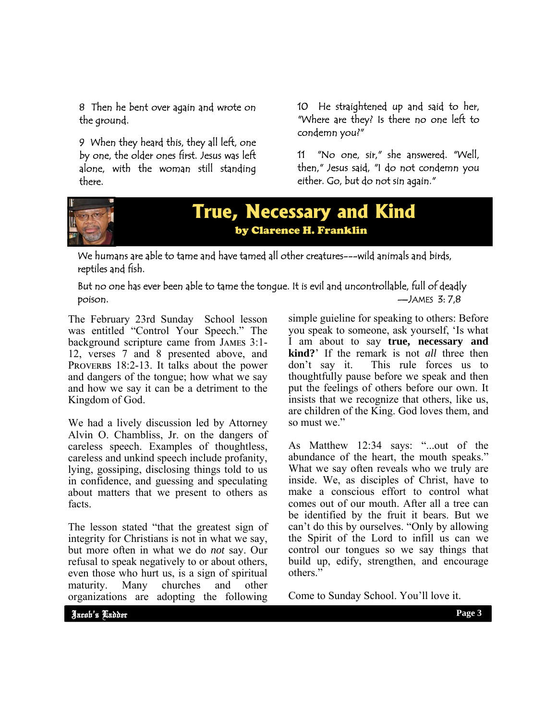8 Then he bent over again and wrote on the ground.

9 When they heard this, they all left, one by one, the older ones first. Jesus was left alone, with the woman still standing there.

10 He straightened up and said to her, "Where are they? Is there no one left to condemn you?"

11 "No one, sir," she answered. "Well, then," Jesus said, "I do not condemn you either. Go, but do not sin again."



## **True, Necessary and Kind**  by Clarence H. Franklin

We humans are able to tame and have tamed all other creatures---wild animals and birds, reptiles and fish.

#### But no one has ever been able to tame the tongue. It is evil and uncontrollable, full of deadly poison. —JAMES 3: 7,8

The February 23rd Sunday School lesson was entitled "Control Your Speech." The background scripture came from JAMES 3:1-12, verses 7 and 8 presented above, and PROVERBS 18:2-13. It talks about the power and dangers of the tongue; how what we say and how we say it can be a detriment to the Kingdom of God.

We had a lively discussion led by Attorney Alvin O. Chambliss, Jr. on the dangers of careless speech. Examples of thoughtless, careless and unkind speech include profanity, lying, gossiping, disclosing things told to us in confidence, and guessing and speculating about matters that we present to others as facts.

The lesson stated "that the greatest sign of integrity for Christians is not in what we say, but more often in what we do *not* say. Our refusal to speak negatively to or about others, even those who hurt us, is a sign of spiritual maturity. Many churches and other organizations are adopting the following

simple guieline for speaking to others: Before you speak to someone, ask yourself, 'Is what I am about to say **true, necessary and kind?**' If the remark is not *all* three then don't say it. This rule forces us to thoughtfully pause before we speak and then put the feelings of others before our own. It insists that we recognize that others, like us, are children of the King. God loves them, and so must we."

As Matthew 12:34 says: "...out of the abundance of the heart, the mouth speaks." What we say often reveals who we truly are inside. We, as disciples of Christ, have to make a conscious effort to control what comes out of our mouth. After all a tree can be identified by the fruit it bears. But we can't do this by ourselves. "Only by allowing the Spirit of the Lord to infill us can we control our tongues so we say things that build up, edify, strengthen, and encourage others<sup>"</sup>

Come to Sunday School. You'll love it.